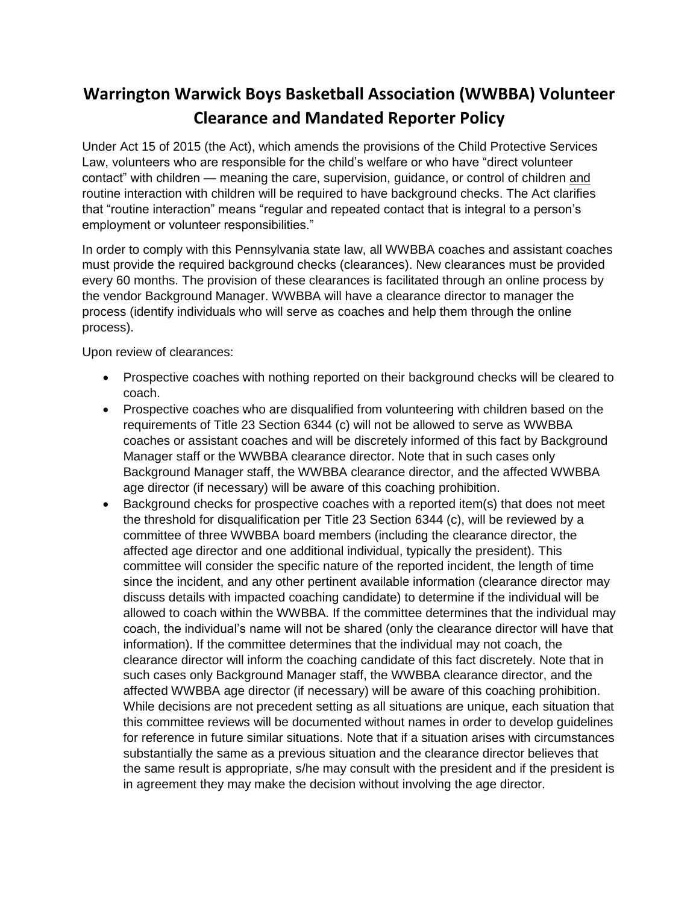## **Warrington Warwick Boys Basketball Association (WWBBA) Volunteer Clearance and Mandated Reporter Policy**

Under Act 15 of 2015 (the Act), which amends the provisions of the Child Protective Services Law, volunteers who are responsible for the child's welfare or who have "direct volunteer contact" with children — meaning the care, supervision, guidance, or control of children and routine interaction with children will be required to have background checks. The Act clarifies that "routine interaction" means "regular and repeated contact that is integral to a person's employment or volunteer responsibilities."

In order to comply with this Pennsylvania state law, all WWBBA coaches and assistant coaches must provide the required background checks (clearances). New clearances must be provided every 60 months. The provision of these clearances is facilitated through an online process by the vendor Background Manager. WWBBA will have a clearance director to manager the process (identify individuals who will serve as coaches and help them through the online process).

Upon review of clearances:

- Prospective coaches with nothing reported on their background checks will be cleared to coach.
- Prospective coaches who are disqualified from volunteering with children based on the requirements of Title 23 Section 6344 (c) will not be allowed to serve as WWBBA coaches or assistant coaches and will be discretely informed of this fact by Background Manager staff or the WWBBA clearance director. Note that in such cases only Background Manager staff, the WWBBA clearance director, and the affected WWBBA age director (if necessary) will be aware of this coaching prohibition.
- Background checks for prospective coaches with a reported item(s) that does not meet the threshold for disqualification per Title 23 Section 6344 (c), will be reviewed by a committee of three WWBBA board members (including the clearance director, the affected age director and one additional individual, typically the president). This committee will consider the specific nature of the reported incident, the length of time since the incident, and any other pertinent available information (clearance director may discuss details with impacted coaching candidate) to determine if the individual will be allowed to coach within the WWBBA. If the committee determines that the individual may coach, the individual's name will not be shared (only the clearance director will have that information). If the committee determines that the individual may not coach, the clearance director will inform the coaching candidate of this fact discretely. Note that in such cases only Background Manager staff, the WWBBA clearance director, and the affected WWBBA age director (if necessary) will be aware of this coaching prohibition. While decisions are not precedent setting as all situations are unique, each situation that this committee reviews will be documented without names in order to develop guidelines for reference in future similar situations. Note that if a situation arises with circumstances substantially the same as a previous situation and the clearance director believes that the same result is appropriate, s/he may consult with the president and if the president is in agreement they may make the decision without involving the age director.